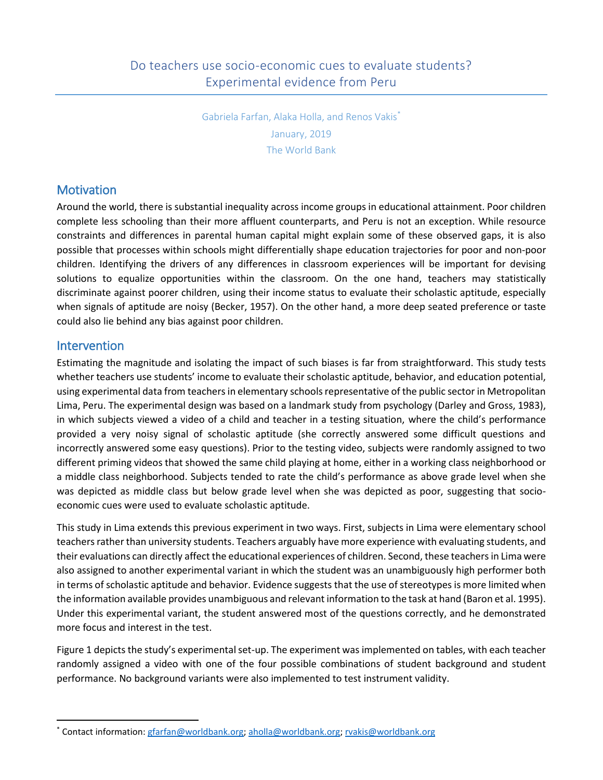Gabriela Farfan, Alaka Holla, and Renos Vakis<sup>®</sup> January, 2019 The World Bank

## **Motivation**

Around the world, there is substantial inequality across income groups in educational attainment. Poor children complete less schooling than their more affluent counterparts, and Peru is not an exception. While resource constraints and differences in parental human capital might explain some of these observed gaps, it is also possible that processes within schools might differentially shape education trajectories for poor and non-poor children. Identifying the drivers of any differences in classroom experiences will be important for devising solutions to equalize opportunities within the classroom. On the one hand, teachers may statistically discriminate against poorer children, using their income status to evaluate their scholastic aptitude, especially when signals of aptitude are noisy (Becker, 1957). On the other hand, a more deep seated preference or taste could also lie behind any bias against poor children.

## **Intervention**

 $\overline{a}$ 

Estimating the magnitude and isolating the impact of such biases is far from straightforward. This study tests whether teachers use students' income to evaluate their scholastic aptitude, behavior, and education potential, using experimental data from teachers in elementary schools representative of the public sector in Metropolitan Lima, Peru. The experimental design was based on a landmark study from psychology (Darley and Gross, 1983), in which subjects viewed a video of a child and teacher in a testing situation, where the child's performance provided a very noisy signal of scholastic aptitude (she correctly answered some difficult questions and incorrectly answered some easy questions). Prior to the testing video, subjects were randomly assigned to two different priming videos that showed the same child playing at home, either in a working class neighborhood or a middle class neighborhood. Subjects tended to rate the child's performance as above grade level when she was depicted as middle class but below grade level when she was depicted as poor, suggesting that socioeconomic cues were used to evaluate scholastic aptitude.

This study in Lima extends this previous experiment in two ways. First, subjects in Lima were elementary school teachers rather than university students. Teachers arguably have more experience with evaluating students, and their evaluations can directly affect the educational experiences of children. Second, these teachers in Lima were also assigned to another experimental variant in which the student was an unambiguously high performer both in terms of scholastic aptitude and behavior. Evidence suggests that the use of stereotypes is more limited when the information available provides unambiguous and relevant information to the task at hand (Baron et al. 1995). Under this experimental variant, the student answered most of the questions correctly, and he demonstrated more focus and interest in the test.

Figure 1 depicts the study's experimental set-up. The experiment was implemented on tables, with each teacher randomly assigned a video with one of the four possible combinations of student background and student performance. No background variants were also implemented to test instrument validity.

<sup>\*</sup> Contact information: [gfarfan@worldbank.org;](mailto:gfarfan@worldbank.org) [aholla@worldbank.org;](mailto:aholla@worldbank.org) [rvakis@worldbank.org](mailto:rvakis@worldbank.org)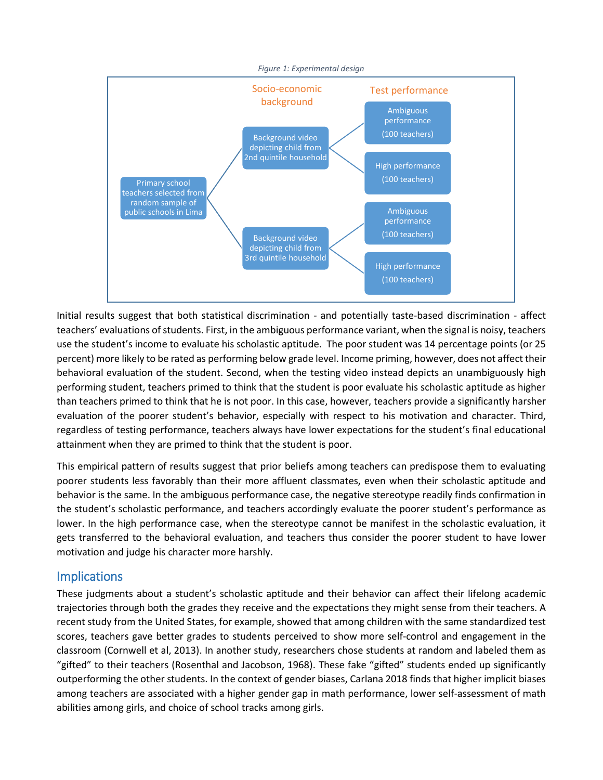

Initial results suggest that both statistical discrimination - and potentially taste-based discrimination - affect teachers' evaluations of students. First, in the ambiguous performance variant, when the signal is noisy, teachers use the student's income to evaluate his scholastic aptitude. The poor student was 14 percentage points (or 25 percent) more likely to be rated as performing below grade level. Income priming, however, does not affect their behavioral evaluation of the student. Second, when the testing video instead depicts an unambiguously high performing student, teachers primed to think that the student is poor evaluate his scholastic aptitude as higher than teachers primed to think that he is not poor. In this case, however, teachers provide a significantly harsher evaluation of the poorer student's behavior, especially with respect to his motivation and character. Third, regardless of testing performance, teachers always have lower expectations for the student's final educational attainment when they are primed to think that the student is poor.

This empirical pattern of results suggest that prior beliefs among teachers can predispose them to evaluating poorer students less favorably than their more affluent classmates, even when their scholastic aptitude and behavior is the same. In the ambiguous performance case, the negative stereotype readily finds confirmation in the student's scholastic performance, and teachers accordingly evaluate the poorer student's performance as lower. In the high performance case, when the stereotype cannot be manifest in the scholastic evaluation, it gets transferred to the behavioral evaluation, and teachers thus consider the poorer student to have lower motivation and judge his character more harshly.

## **Implications**

These judgments about a student's scholastic aptitude and their behavior can affect their lifelong academic trajectories through both the grades they receive and the expectations they might sense from their teachers. A recent study from the United States, for example, showed that among children with the same standardized test scores, teachers gave better grades to students perceived to show more self-control and engagement in the classroom (Cornwell et al, 2013). In another study, researchers chose students at random and labeled them as "gifted" to their teachers (Rosenthal and Jacobson, 1968). These fake "gifted" students ended up significantly outperforming the other students. In the context of gender biases, Carlana 2018 finds that higher implicit biases among teachers are associated with a higher gender gap in math performance, lower self-assessment of math abilities among girls, and choice of school tracks among girls.